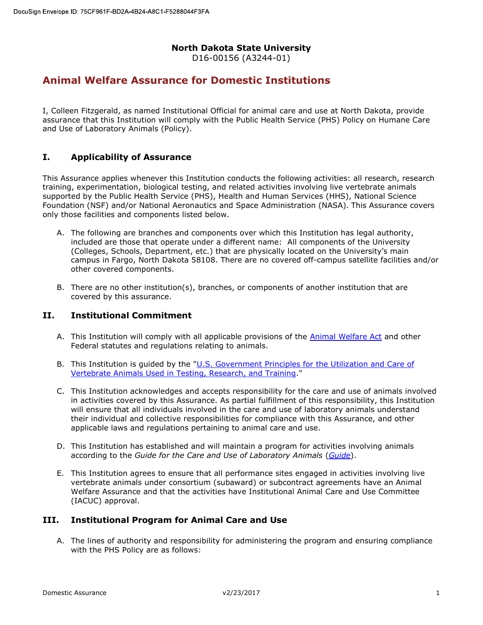## North Dakota State University

D16-00156 (A3244-01)

## Animal Welfare Assurance for Domestic Institutions

I, Colleen Fitzgerald, as named Institutional Official for animal care and use at North Dakota, provide assurance that this Institution will comply with the Public Health Service (PHS) Policy on Humane Care and Use of Laboratory Animals (Policy).

#### I. Applicability of Assurance

This Assurance applies whenever this Institution conducts the following activities: all research, research training, experimentation, biological testing, and related activities involving live vertebrate animals supported by the Public Health Service (PHS), Health and Human Services (HHS), National Science Foundation (NSF) and/or National Aeronautics and Space Administration (NASA). This Assurance covers only those facilities and components listed below.

- A. The following are branches and components over which this Institution has legal authority, included are those that operate under a different name: All components of the University (Colleges, Schools, Department, etc.) that are physically located on the University's main campus in Fargo, North Dakota 58108. There are no covered off-campus satellite facilities and/or other covered components.
- B. There are no other institution(s), branches, or components of another institution that are covered by this assurance.

#### II. Institutional Commitment

- A. This Institution will comply with all applicable provisions of the **Animal Welfare Act** and other Federal statutes and regulations relating to animals.
- B. This Institution is guided by the "U.S. Government Principles for the Utilization and Care of Vertebrate Animals Used in Testing, Research, and Training."
- C. This Institution acknowledges and accepts responsibility for the care and use of animals involved in activities covered by this Assurance. As partial fulfillment of this responsibility, this Institution will ensure that all individuals involved in the care and use of laboratory animals understand their individual and collective responsibilities for compliance with this Assurance, and other applicable laws and regulations pertaining to animal care and use.
- D. This Institution has established and will maintain a program for activities involving animals according to the Guide for the Care and Use of Laboratory Animals (Guide).
- E. This Institution agrees to ensure that all performance sites engaged in activities involving live vertebrate animals under consortium (subaward) or subcontract agreements have an Animal Welfare Assurance and that the activities have Institutional Animal Care and Use Committee (IACUC) approval.

### III. Institutional Program for Animal Care and Use

A. The lines of authority and responsibility for administering the program and ensuring compliance with the PHS Policy are as follows: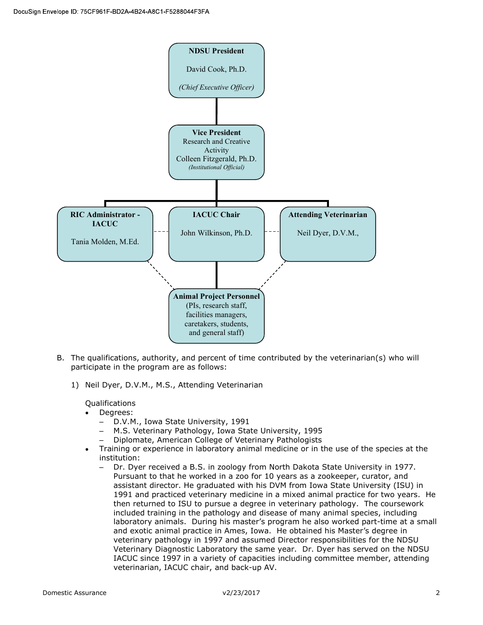

- B. The qualifications, authority, and percent of time contributed by the veterinarian(s) who will participate in the program are as follows:
	- 1) Neil Dyer, D.V.M., M.S., Attending Veterinarian

Qualifications

- Degrees:
	- D.V.M., Iowa State University, 1991
	- M.S. Veterinary Pathology, Iowa State University, 1995
	- Diplomate, American College of Veterinary Pathologists
- Training or experience in laboratory animal medicine or in the use of the species at the institution:
	- Dr. Dyer received a B.S. in zoology from North Dakota State University in 1977. Pursuant to that he worked in a zoo for 10 years as a zookeeper, curator, and assistant director. He graduated with his DVM from Iowa State University (ISU) in 1991 and practiced veterinary medicine in a mixed animal practice for two years. He then returned to ISU to pursue a degree in veterinary pathology. The coursework included training in the pathology and disease of many animal species, including laboratory animals. During his master's program he also worked part-time at a small and exotic animal practice in Ames, Iowa. He obtained his Master's degree in veterinary pathology in 1997 and assumed Director responsibilities for the NDSU Veterinary Diagnostic Laboratory the same year. Dr. Dyer has served on the NDSU IACUC since 1997 in a variety of capacities including committee member, attending veterinarian, IACUC chair, and back-up AV.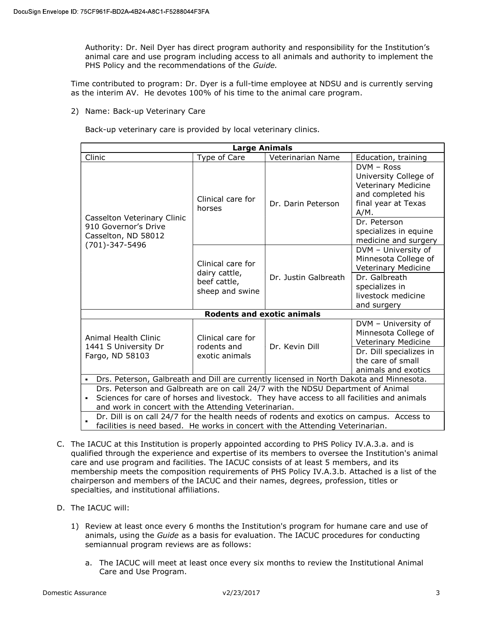Authority: Dr. Neil Dyer has direct program authority and responsibility for the Institution's animal care and use program including access to all animals and authority to implement the PHS Policy and the recommendations of the Guide.

Time contributed to program: Dr. Dyer is a full-time employee at NDSU and is currently serving as the interim AV. He devotes 100% of his time to the animal care program.

2) Name: Back-up Veterinary Care

Back-up veterinary care is provided by local veterinary clinics.

| <b>Large Animals</b>                                                                                                                                                                                                                 |                                                                       |                      |                                                                                                                                                                    |  |
|--------------------------------------------------------------------------------------------------------------------------------------------------------------------------------------------------------------------------------------|-----------------------------------------------------------------------|----------------------|--------------------------------------------------------------------------------------------------------------------------------------------------------------------|--|
| Clinic                                                                                                                                                                                                                               | Type of Care                                                          | Veterinarian Name    | Education, training                                                                                                                                                |  |
| Casselton Veterinary Clinic<br>910 Governor's Drive<br>Casselton, ND 58012<br>(701)-347-5496                                                                                                                                         | Clinical care for<br>horses                                           | Dr. Darin Peterson   | $DVM - Ross$<br>University College of<br>Veterinary Medicine<br>and completed his<br>final year at Texas<br>$A/M$ .<br>Dr. Peterson<br>specializes in equine       |  |
|                                                                                                                                                                                                                                      | Clinical care for<br>dairy cattle,<br>beef cattle,<br>sheep and swine | Dr. Justin Galbreath | medicine and surgery<br>DVM - University of<br>Minnesota College of<br>Veterinary Medicine<br>Dr. Galbreath<br>specializes in<br>livestock medicine<br>and surgery |  |
|                                                                                                                                                                                                                                      | <b>Rodents and exotic animals</b>                                     |                      |                                                                                                                                                                    |  |
| Animal Health Clinic<br>1441 S University Dr<br>Fargo, ND 58103                                                                                                                                                                      | Clinical care for<br>rodents and<br>exotic animals                    | Dr. Kevin Dill       | DVM - University of<br>Minnesota College of<br>Veterinary Medicine<br>Dr. Dill specializes in<br>the care of small<br>animals and exotics                          |  |
| Drs. Peterson, Galbreath and Dill are currently licensed in North Dakota and Minnesota.<br>٠                                                                                                                                         |                                                                       |                      |                                                                                                                                                                    |  |
| Drs. Peterson and Galbreath are on call 24/7 with the NDSU Department of Animal<br>Sciences for care of horses and livestock. They have access to all facilities and animals<br>and work in concert with the Attending Veterinarian. |                                                                       |                      |                                                                                                                                                                    |  |
| Dr. Dill is on call 24/7 for the health needs of rodents and exotics on campus. Access to<br>facilities is need based. He works in concert with the Attending Veterinarian.                                                          |                                                                       |                      |                                                                                                                                                                    |  |

- C. The IACUC at this Institution is properly appointed according to PHS Policy IV.A.3.a. and is qualified through the experience and expertise of its members to oversee the Institution's animal care and use program and facilities. The IACUC consists of at least 5 members, and its membership meets the composition requirements of PHS Policy IV.A.3.b. Attached is a list of the chairperson and members of the IACUC and their names, degrees, profession, titles or specialties, and institutional affiliations.
- D. The IACUC will:
	- 1) Review at least once every 6 months the Institution's program for humane care and use of animals, using the Guide as a basis for evaluation. The IACUC procedures for conducting semiannual program reviews are as follows:
		- a. The IACUC will meet at least once every six months to review the Institutional Animal Care and Use Program.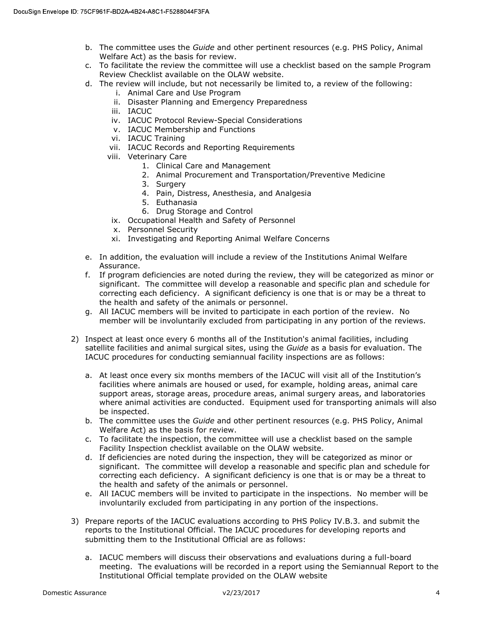- b. The committee uses the Guide and other pertinent resources (e.g. PHS Policy, Animal Welfare Act) as the basis for review.
- c. To facilitate the review the committee will use a checklist based on the sample Program Review Checklist available on the OLAW website.
- d. The review will include, but not necessarily be limited to, a review of the following:
	- i. Animal Care and Use Program
	- ii. Disaster Planning and Emergency Preparedness
	- iii. IACUC
	- iv. IACUC Protocol Review-Special Considerations
	- v. IACUC Membership and Functions
	- vi. IACUC Training
	- vii. IACUC Records and Reporting Requirements
	- viii. Veterinary Care
		- 1. Clinical Care and Management
		- 2. Animal Procurement and Transportation/Preventive Medicine
		- 3. Surgery
		- 4. Pain, Distress, Anesthesia, and Analgesia
		- 5. Euthanasia
		- 6. Drug Storage and Control
		- ix. Occupational Health and Safety of Personnel
		- x. Personnel Security
		- xi. Investigating and Reporting Animal Welfare Concerns
- e. In addition, the evaluation will include a review of the Institutions Animal Welfare Assurance.
- f. If program deficiencies are noted during the review, they will be categorized as minor or significant. The committee will develop a reasonable and specific plan and schedule for correcting each deficiency. A significant deficiency is one that is or may be a threat to the health and safety of the animals or personnel.
- g. All IACUC members will be invited to participate in each portion of the review. No member will be involuntarily excluded from participating in any portion of the reviews.
- 2) Inspect at least once every 6 months all of the Institution's animal facilities, including satellite facilities and animal surgical sites, using the Guide as a basis for evaluation. The IACUC procedures for conducting semiannual facility inspections are as follows:
	- a. At least once every six months members of the IACUC will visit all of the Institution's facilities where animals are housed or used, for example, holding areas, animal care support areas, storage areas, procedure areas, animal surgery areas, and laboratories where animal activities are conducted. Equipment used for transporting animals will also be inspected.
	- b. The committee uses the Guide and other pertinent resources (e.g. PHS Policy, Animal Welfare Act) as the basis for review.
	- c. To facilitate the inspection, the committee will use a checklist based on the sample Facility Inspection checklist available on the OLAW website.
	- d. If deficiencies are noted during the inspection, they will be categorized as minor or significant. The committee will develop a reasonable and specific plan and schedule for correcting each deficiency. A significant deficiency is one that is or may be a threat to the health and safety of the animals or personnel.
	- e. All IACUC members will be invited to participate in the inspections. No member will be involuntarily excluded from participating in any portion of the inspections.
- 3) Prepare reports of the IACUC evaluations according to PHS Policy IV.B.3. and submit the reports to the Institutional Official. The IACUC procedures for developing reports and submitting them to the Institutional Official are as follows:
	- a. IACUC members will discuss their observations and evaluations during a full-board meeting. The evaluations will be recorded in a report using the Semiannual Report to the Institutional Official template provided on the OLAW website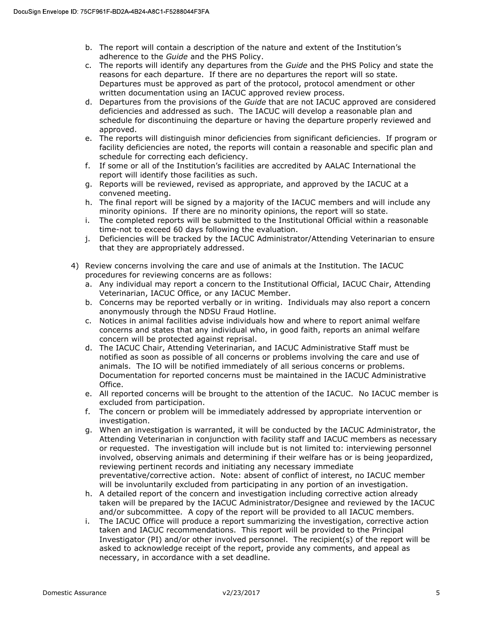- b. The report will contain a description of the nature and extent of the Institution's adherence to the Guide and the PHS Policy.
- c. The reports will identify any departures from the Guide and the PHS Policy and state the reasons for each departure. If there are no departures the report will so state. Departures must be approved as part of the protocol, protocol amendment or other written documentation using an IACUC approved review process.
- d. Departures from the provisions of the Guide that are not IACUC approved are considered deficiencies and addressed as such. The IACUC will develop a reasonable plan and schedule for discontinuing the departure or having the departure properly reviewed and approved.
- e. The reports will distinguish minor deficiencies from significant deficiencies. If program or facility deficiencies are noted, the reports will contain a reasonable and specific plan and schedule for correcting each deficiency.
- f. If some or all of the Institution's facilities are accredited by AALAC International the report will identify those facilities as such.
- g. Reports will be reviewed, revised as appropriate, and approved by the IACUC at a convened meeting.
- h. The final report will be signed by a majority of the IACUC members and will include any minority opinions. If there are no minority opinions, the report will so state.
- i. The completed reports will be submitted to the Institutional Official within a reasonable time-not to exceed 60 days following the evaluation.
- j. Deficiencies will be tracked by the IACUC Administrator/Attending Veterinarian to ensure that they are appropriately addressed.
- 4) Review concerns involving the care and use of animals at the Institution. The IACUC procedures for reviewing concerns are as follows:
	- a. Any individual may report a concern to the Institutional Official, IACUC Chair, Attending Veterinarian, IACUC Office, or any IACUC Member.
	- b. Concerns may be reported verbally or in writing. Individuals may also report a concern anonymously through the NDSU Fraud Hotline.
	- c. Notices in animal facilities advise individuals how and where to report animal welfare concerns and states that any individual who, in good faith, reports an animal welfare concern will be protected against reprisal.
	- d. The IACUC Chair, Attending Veterinarian, and IACUC Administrative Staff must be notified as soon as possible of all concerns or problems involving the care and use of animals. The IO will be notified immediately of all serious concerns or problems. Documentation for reported concerns must be maintained in the IACUC Administrative Office.
	- e. All reported concerns will be brought to the attention of the IACUC. No IACUC member is excluded from participation.
	- f. The concern or problem will be immediately addressed by appropriate intervention or investigation.
	- g. When an investigation is warranted, it will be conducted by the IACUC Administrator, the Attending Veterinarian in conjunction with facility staff and IACUC members as necessary or requested. The investigation will include but is not limited to: interviewing personnel involved, observing animals and determining if their welfare has or is being jeopardized, reviewing pertinent records and initiating any necessary immediate preventative/corrective action. Note: absent of conflict of interest, no IACUC member will be involuntarily excluded from participating in any portion of an investigation.
	- h. A detailed report of the concern and investigation including corrective action already taken will be prepared by the IACUC Administrator/Designee and reviewed by the IACUC and/or subcommittee. A copy of the report will be provided to all IACUC members.
	- i. The IACUC Office will produce a report summarizing the investigation, corrective action taken and IACUC recommendations. This report will be provided to the Principal Investigator (PI) and/or other involved personnel. The recipient(s) of the report will be asked to acknowledge receipt of the report, provide any comments, and appeal as necessary, in accordance with a set deadline.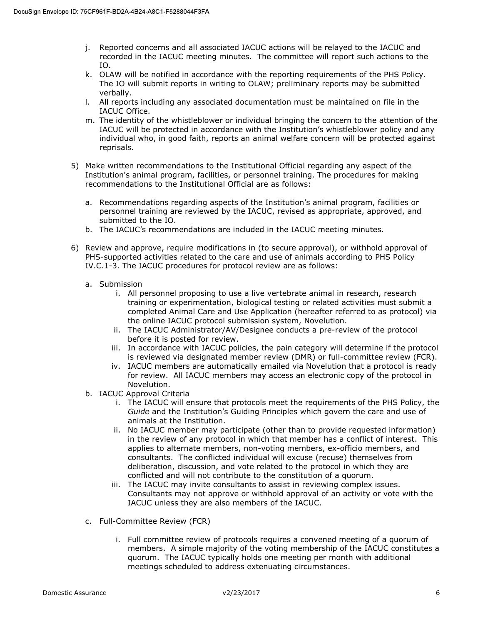- j. Reported concerns and all associated IACUC actions will be relayed to the IACUC and recorded in the IACUC meeting minutes. The committee will report such actions to the IO.
- k. OLAW will be notified in accordance with the reporting requirements of the PHS Policy. The IO will submit reports in writing to OLAW; preliminary reports may be submitted verbally.
- l. All reports including any associated documentation must be maintained on file in the IACUC Office.
- m. The identity of the whistleblower or individual bringing the concern to the attention of the IACUC will be protected in accordance with the Institution's whistleblower policy and any individual who, in good faith, reports an animal welfare concern will be protected against reprisals.
- 5) Make written recommendations to the Institutional Official regarding any aspect of the Institution's animal program, facilities, or personnel training. The procedures for making recommendations to the Institutional Official are as follows:
	- a. Recommendations regarding aspects of the Institution's animal program, facilities or personnel training are reviewed by the IACUC, revised as appropriate, approved, and submitted to the IO.
	- b. The IACUC's recommendations are included in the IACUC meeting minutes.
- 6) Review and approve, require modifications in (to secure approval), or withhold approval of PHS-supported activities related to the care and use of animals according to PHS Policy IV.C.1-3. The IACUC procedures for protocol review are as follows:
	- a. Submission
		- i. All personnel proposing to use a live vertebrate animal in research, research training or experimentation, biological testing or related activities must submit a completed Animal Care and Use Application (hereafter referred to as protocol) via the online IACUC protocol submission system, Novelution.
		- ii. The IACUC Administrator/AV/Designee conducts a pre-review of the protocol before it is posted for review.
		- iii. In accordance with IACUC policies, the pain category will determine if the protocol is reviewed via designated member review (DMR) or full-committee review (FCR).
		- iv. IACUC members are automatically emailed via Novelution that a protocol is ready for review. All IACUC members may access an electronic copy of the protocol in Novelution.
	- b. IACUC Approval Criteria
		- i. The IACUC will ensure that protocols meet the requirements of the PHS Policy, the Guide and the Institution's Guiding Principles which govern the care and use of animals at the Institution.
		- ii. No IACUC member may participate (other than to provide requested information) in the review of any protocol in which that member has a conflict of interest. This applies to alternate members, non-voting members, ex-officio members, and consultants. The conflicted individual will excuse (recuse) themselves from deliberation, discussion, and vote related to the protocol in which they are conflicted and will not contribute to the constitution of a quorum.
		- iii. The IACUC may invite consultants to assist in reviewing complex issues. Consultants may not approve or withhold approval of an activity or vote with the IACUC unless they are also members of the IACUC.
	- c. Full-Committee Review (FCR)
		- i. Full committee review of protocols requires a convened meeting of a quorum of members. A simple majority of the voting membership of the IACUC constitutes a quorum. The IACUC typically holds one meeting per month with additional meetings scheduled to address extenuating circumstances.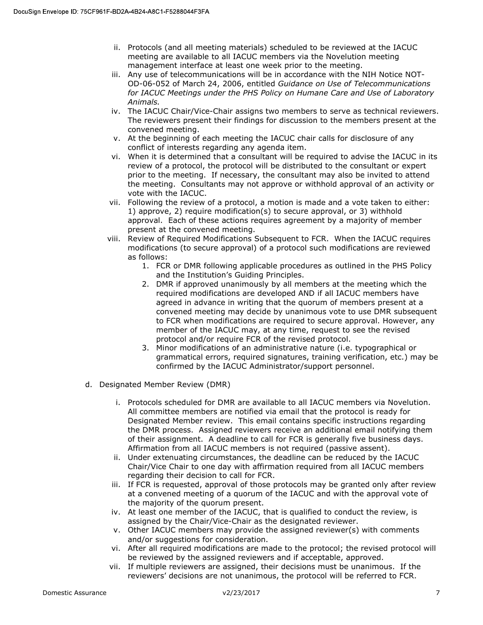- ii. Protocols (and all meeting materials) scheduled to be reviewed at the IACUC meeting are available to all IACUC members via the Novelution meeting management interface at least one week prior to the meeting.
- iii. Any use of telecommunications will be in accordance with the NIH Notice NOT-OD-06-052 of March 24, 2006, entitled Guidance on Use of Telecommunications for IACUC Meetings under the PHS Policy on Humane Care and Use of Laboratory Animals.
- iv. The IACUC Chair/Vice-Chair assigns two members to serve as technical reviewers. The reviewers present their findings for discussion to the members present at the convened meeting.
- v. At the beginning of each meeting the IACUC chair calls for disclosure of any conflict of interests regarding any agenda item.
- vi. When it is determined that a consultant will be required to advise the IACUC in its review of a protocol, the protocol will be distributed to the consultant or expert prior to the meeting. If necessary, the consultant may also be invited to attend the meeting. Consultants may not approve or withhold approval of an activity or vote with the IACUC.
- vii. Following the review of a protocol, a motion is made and a vote taken to either: 1) approve, 2) require modification(s) to secure approval, or 3) withhold approval. Each of these actions requires agreement by a majority of member present at the convened meeting.
- viii. Review of Required Modifications Subsequent to FCR. When the IACUC requires modifications (to secure approval) of a protocol such modifications are reviewed as follows:
	- 1. FCR or DMR following applicable procedures as outlined in the PHS Policy and the Institution's Guiding Principles.
	- 2. DMR if approved unanimously by all members at the meeting which the required modifications are developed AND if all IACUC members have agreed in advance in writing that the quorum of members present at a convened meeting may decide by unanimous vote to use DMR subsequent to FCR when modifications are required to secure approval. However, any member of the IACUC may, at any time, request to see the revised protocol and/or require FCR of the revised protocol.
	- 3. Minor modifications of an administrative nature (i.e. typographical or grammatical errors, required signatures, training verification, etc.) may be confirmed by the IACUC Administrator/support personnel.
- d. Designated Member Review (DMR)
	- i. Protocols scheduled for DMR are available to all IACUC members via Novelution. All committee members are notified via email that the protocol is ready for Designated Member review. This email contains specific instructions regarding the DMR process. Assigned reviewers receive an additional email notifying them of their assignment. A deadline to call for FCR is generally five business days. Affirmation from all IACUC members is not required (passive assent).
	- ii. Under extenuating circumstances, the deadline can be reduced by the IACUC Chair/Vice Chair to one day with affirmation required from all IACUC members regarding their decision to call for FCR.
	- iii. If FCR is requested, approval of those protocols may be granted only after review at a convened meeting of a quorum of the IACUC and with the approval vote of the majority of the quorum present.
	- iv. At least one member of the IACUC, that is qualified to conduct the review, is assigned by the Chair/Vice-Chair as the designated reviewer.
	- v. Other IACUC members may provide the assigned reviewer(s) with comments and/or suggestions for consideration.
	- vi. After all required modifications are made to the protocol; the revised protocol will be reviewed by the assigned reviewers and if acceptable, approved.
	- vii. If multiple reviewers are assigned, their decisions must be unanimous. If the reviewers' decisions are not unanimous, the protocol will be referred to FCR.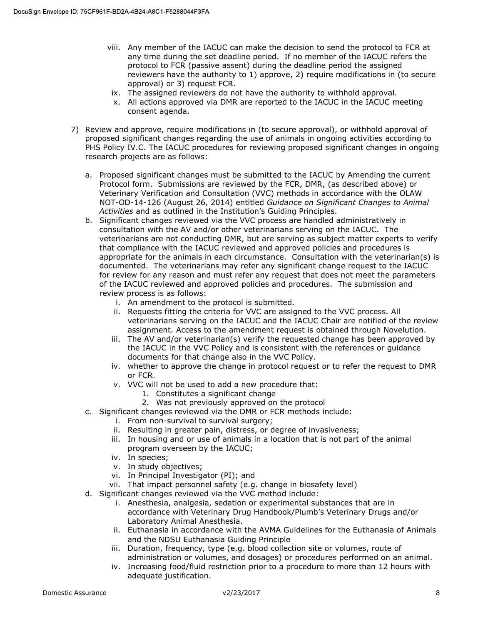- viii. Any member of the IACUC can make the decision to send the protocol to FCR at any time during the set deadline period. If no member of the IACUC refers the protocol to FCR (passive assent) during the deadline period the assigned reviewers have the authority to 1) approve, 2) require modifications in (to secure approval) or 3) request FCR.
- ix. The assigned reviewers do not have the authority to withhold approval.
- x. All actions approved via DMR are reported to the IACUC in the IACUC meeting consent agenda.
- 7) Review and approve, require modifications in (to secure approval), or withhold approval of proposed significant changes regarding the use of animals in ongoing activities according to PHS Policy IV.C. The IACUC procedures for reviewing proposed significant changes in ongoing research projects are as follows:
	- a. Proposed significant changes must be submitted to the IACUC by Amending the current Protocol form. Submissions are reviewed by the FCR, DMR, (as described above) or Veterinary Verification and Consultation (VVC) methods in accordance with the OLAW NOT-OD-14-126 (August 26, 2014) entitled Guidance on Significant Changes to Animal Activities and as outlined in the Institution's Guiding Principles.
	- b. Significant changes reviewed via the VVC process are handled administratively in consultation with the AV and/or other veterinarians serving on the IACUC. The veterinarians are not conducting DMR, but are serving as subject matter experts to verify that compliance with the IACUC reviewed and approved policies and procedures is appropriate for the animals in each circumstance. Consultation with the veterinarian(s) is documented. The veterinarians may refer any significant change request to the IACUC for review for any reason and must refer any request that does not meet the parameters of the IACUC reviewed and approved policies and procedures. The submission and review process is as follows:
		- i. An amendment to the protocol is submitted.
		- ii. Requests fitting the criteria for VVC are assigned to the VVC process. All veterinarians serving on the IACUC and the IACUC Chair are notified of the review assignment. Access to the amendment request is obtained through Novelution.
		- iii. The AV and/or veterinarian(s) verify the requested change has been approved by the IACUC in the VVC Policy and is consistent with the references or guidance documents for that change also in the VVC Policy.
		- iv. whether to approve the change in protocol request or to refer the request to DMR or FCR.
		- v. VVC will not be used to add a new procedure that:
			- 1. Constitutes a significant change
			- 2. Was not previously approved on the protocol
	- c. Significant changes reviewed via the DMR or FCR methods include:
		- i. From non-survival to survival surgery;
		- ii. Resulting in greater pain, distress, or degree of invasiveness;
		- iii. In housing and or use of animals in a location that is not part of the animal program overseen by the IACUC;
		- iv. In species;
		- v. In study objectives;
		- vi. In Principal Investigator (PI); and
		- vii. That impact personnel safety (e.g. change in biosafety level)
	- d. Significant changes reviewed via the VVC method include:
		- i. Anesthesia, analgesia, sedation or experimental substances that are in accordance with Veterinary Drug Handbook/Plumb's Veterinary Drugs and/or Laboratory Animal Anesthesia.
		- ii. Euthanasia in accordance with the AVMA Guidelines for the Euthanasia of Animals and the NDSU Euthanasia Guiding Principle
		- iii. Duration, frequency, type (e.g. blood collection site or volumes, route of administration or volumes, and dosages) or procedures performed on an animal.
		- iv. Increasing food/fluid restriction prior to a procedure to more than 12 hours with adequate justification.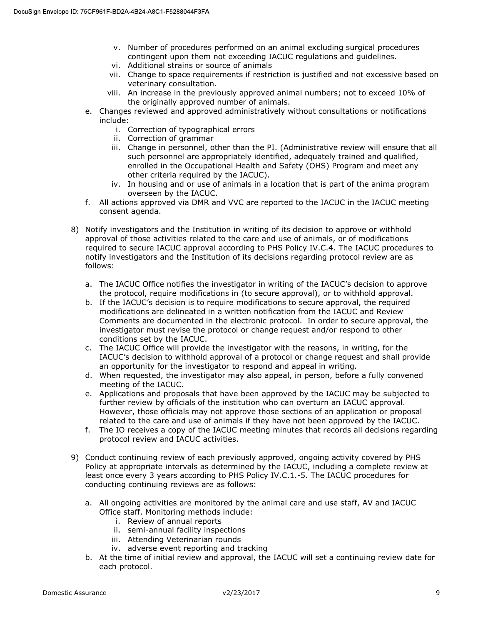- v. Number of procedures performed on an animal excluding surgical procedures contingent upon them not exceeding IACUC regulations and guidelines.
- vi. Additional strains or source of animals
- vii. Change to space requirements if restriction is justified and not excessive based on veterinary consultation.
- viii. An increase in the previously approved animal numbers; not to exceed 10% of the originally approved number of animals.
- e. Changes reviewed and approved administratively without consultations or notifications include:
	- i. Correction of typographical errors
	- ii. Correction of grammar
	- iii. Change in personnel, other than the PI. (Administrative review will ensure that all such personnel are appropriately identified, adequately trained and qualified, enrolled in the Occupational Health and Safety (OHS) Program and meet any other criteria required by the IACUC).
	- iv. In housing and or use of animals in a location that is part of the anima program overseen by the IACUC.
- f. All actions approved via DMR and VVC are reported to the IACUC in the IACUC meeting consent agenda.
- 8) Notify investigators and the Institution in writing of its decision to approve or withhold approval of those activities related to the care and use of animals, or of modifications required to secure IACUC approval according to PHS Policy IV.C.4. The IACUC procedures to notify investigators and the Institution of its decisions regarding protocol review are as follows:
	- a. The IACUC Office notifies the investigator in writing of the IACUC's decision to approve the protocol, require modifications in (to secure approval), or to withhold approval.
	- b. If the IACUC's decision is to require modifications to secure approval, the required modifications are delineated in a written notification from the IACUC and Review Comments are documented in the electronic protocol. In order to secure approval, the investigator must revise the protocol or change request and/or respond to other conditions set by the IACUC.
	- c. The IACUC Office will provide the investigator with the reasons, in writing, for the IACUC's decision to withhold approval of a protocol or change request and shall provide an opportunity for the investigator to respond and appeal in writing.
	- d. When requested, the investigator may also appeal, in person, before a fully convened meeting of the IACUC.
	- e. Applications and proposals that have been approved by the IACUC may be subjected to further review by officials of the institution who can overturn an IACUC approval. However, those officials may not approve those sections of an application or proposal related to the care and use of animals if they have not been approved by the IACUC.
	- f. The IO receives a copy of the IACUC meeting minutes that records all decisions regarding protocol review and IACUC activities.
- 9) Conduct continuing review of each previously approved, ongoing activity covered by PHS Policy at appropriate intervals as determined by the IACUC, including a complete review at least once every 3 years according to PHS Policy IV.C.1.-5. The IACUC procedures for conducting continuing reviews are as follows:
	- a. All ongoing activities are monitored by the animal care and use staff, AV and IACUC Office staff. Monitoring methods include:
		- i. Review of annual reports
		- ii. semi-annual facility inspections
		- iii. Attending Veterinarian rounds
		- iv. adverse event reporting and tracking
	- b. At the time of initial review and approval, the IACUC will set a continuing review date for each protocol.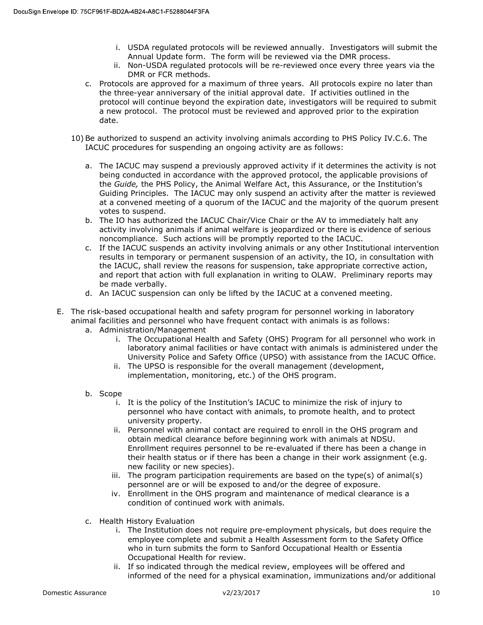- i. USDA regulated protocols will be reviewed annually. Investigators will submit the Annual Update form. The form will be reviewed via the DMR process.
- ii. Non-USDA regulated protocols will be re-reviewed once every three years via the DMR or FCR methods.
- c. Protocols are approved for a maximum of three years. All protocols expire no later than the three-year anniversary of the initial approval date. If activities outlined in the protocol will continue beyond the expiration date, investigators will be required to submit a new protocol. The protocol must be reviewed and approved prior to the expiration date.
- 10) Be authorized to suspend an activity involving animals according to PHS Policy IV.C.6. The IACUC procedures for suspending an ongoing activity are as follows:
	- a. The IACUC may suspend a previously approved activity if it determines the activity is not being conducted in accordance with the approved protocol, the applicable provisions of the Guide, the PHS Policy, the Animal Welfare Act, this Assurance, or the Institution's Guiding Principles. The IACUC may only suspend an activity after the matter is reviewed at a convened meeting of a quorum of the IACUC and the majority of the quorum present votes to suspend.
	- b. The IO has authorized the IACUC Chair/Vice Chair or the AV to immediately halt any activity involving animals if animal welfare is jeopardized or there is evidence of serious noncompliance. Such actions will be promptly reported to the IACUC.
	- c. If the IACUC suspends an activity involving animals or any other Institutional intervention results in temporary or permanent suspension of an activity, the IO, in consultation with the IACUC, shall review the reasons for suspension, take appropriate corrective action, and report that action with full explanation in writing to OLAW. Preliminary reports may be made verbally.
	- d. An IACUC suspension can only be lifted by the IACUC at a convened meeting.
- E. The risk-based occupational health and safety program for personnel working in laboratory animal facilities and personnel who have frequent contact with animals is as follows:
	- a. Administration/Management
		- i. The Occupational Health and Safety (OHS) Program for all personnel who work in laboratory animal facilities or have contact with animals is administered under the University Police and Safety Office (UPSO) with assistance from the IACUC Office.
		- ii. The UPSO is responsible for the overall management (development, implementation, monitoring, etc.) of the OHS program.
	- b. Scope
		- i. It is the policy of the Institution's IACUC to minimize the risk of injury to personnel who have contact with animals, to promote health, and to protect university property.
		- ii. Personnel with animal contact are required to enroll in the OHS program and obtain medical clearance before beginning work with animals at NDSU. Enrollment requires personnel to be re-evaluated if there has been a change in their health status or if there has been a change in their work assignment (e.g. new facility or new species).
		- iii. The program participation requirements are based on the type(s) of animal(s) personnel are or will be exposed to and/or the degree of exposure.
		- iv. Enrollment in the OHS program and maintenance of medical clearance is a condition of continued work with animals.
	- c. Health History Evaluation
		- i. The Institution does not require pre-employment physicals, but does require the employee complete and submit a Health Assessment form to the Safety Office who in turn submits the form to Sanford Occupational Health or Essentia Occupational Health for review.
		- ii. If so indicated through the medical review, employees will be offered and informed of the need for a physical examination, immunizations and/or additional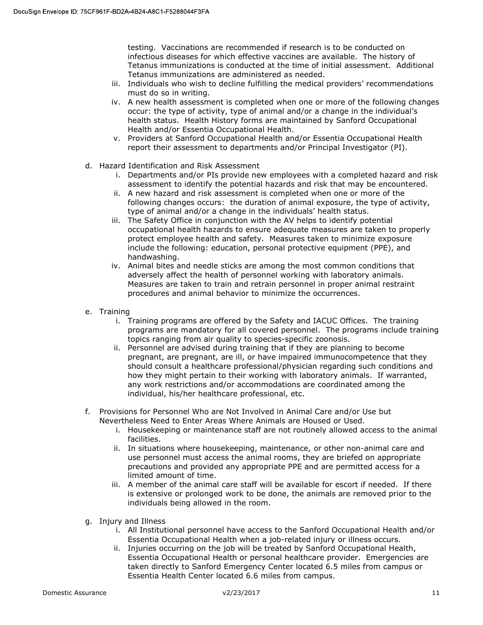testing. Vaccinations are recommended if research is to be conducted on infectious diseases for which effective vaccines are available. The history of Tetanus immunizations is conducted at the time of initial assessment. Additional Tetanus immunizations are administered as needed.

- iii. Individuals who wish to decline fulfilling the medical providers' recommendations must do so in writing.
- iv. A new health assessment is completed when one or more of the following changes occur: the type of activity, type of animal and/or a change in the individual's health status. Health History forms are maintained by Sanford Occupational Health and/or Essentia Occupational Health.
- v. Providers at Sanford Occupational Health and/or Essentia Occupational Health report their assessment to departments and/or Principal Investigator (PI).
- d. Hazard Identification and Risk Assessment
	- i. Departments and/or PIs provide new employees with a completed hazard and risk assessment to identify the potential hazards and risk that may be encountered.
	- ii. A new hazard and risk assessment is completed when one or more of the following changes occurs: the duration of animal exposure, the type of activity, type of animal and/or a change in the individuals' health status.
	- iii. The Safety Office in conjunction with the AV helps to identify potential occupational health hazards to ensure adequate measures are taken to properly protect employee health and safety. Measures taken to minimize exposure include the following: education, personal protective equipment (PPE), and handwashing.
	- iv. Animal bites and needle sticks are among the most common conditions that adversely affect the health of personnel working with laboratory animals. Measures are taken to train and retrain personnel in proper animal restraint procedures and animal behavior to minimize the occurrences.
- e. Training
	- i. Training programs are offered by the Safety and IACUC Offices. The training programs are mandatory for all covered personnel. The programs include training topics ranging from air quality to species-specific zoonosis.
	- ii. Personnel are advised during training that if they are planning to become pregnant, are pregnant, are ill, or have impaired immunocompetence that they should consult a healthcare professional/physician regarding such conditions and how they might pertain to their working with laboratory animals. If warranted, any work restrictions and/or accommodations are coordinated among the individual, his/her healthcare professional, etc.
- f. Provisions for Personnel Who are Not Involved in Animal Care and/or Use but Nevertheless Need to Enter Areas Where Animals are Housed or Used.
	- i. Housekeeping or maintenance staff are not routinely allowed access to the animal facilities.
	- ii. In situations where housekeeping, maintenance, or other non-animal care and use personnel must access the animal rooms, they are briefed on appropriate precautions and provided any appropriate PPE and are permitted access for a limited amount of time.
	- iii. A member of the animal care staff will be available for escort if needed. If there is extensive or prolonged work to be done, the animals are removed prior to the individuals being allowed in the room.
- g. Injury and Illness
	- i. All Institutional personnel have access to the Sanford Occupational Health and/or Essentia Occupational Health when a job-related injury or illness occurs.
	- ii. Injuries occurring on the job will be treated by Sanford Occupational Health, Essentia Occupational Health or personal healthcare provider. Emergencies are taken directly to Sanford Emergency Center located 6.5 miles from campus or Essentia Health Center located 6.6 miles from campus.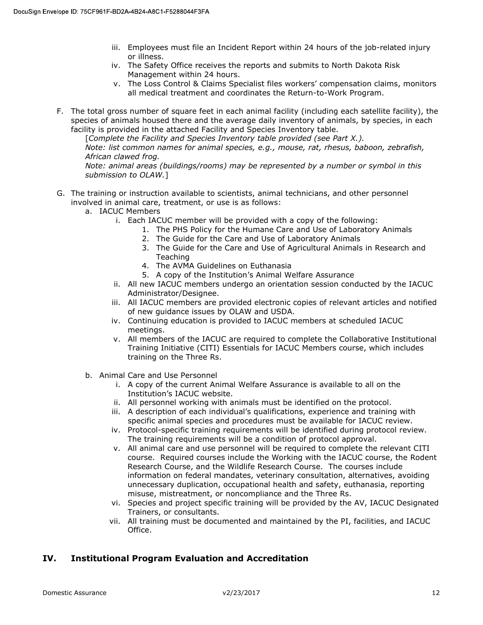- iii. Employees must file an Incident Report within 24 hours of the job-related injury or illness.
- iv. The Safety Office receives the reports and submits to North Dakota Risk Management within 24 hours.
- v. The Loss Control & Claims Specialist files workers' compensation claims, monitors all medical treatment and coordinates the Return-to-Work Program.
- F. The total gross number of square feet in each animal facility (including each satellite facility), the species of animals housed there and the average daily inventory of animals, by species, in each facility is provided in the attached Facility and Species Inventory table.

[Complete the Facility and Species Inventory table provided (see Part X.). Note: list common names for animal species, e.g., mouse, rat, rhesus, baboon, zebrafish, African clawed frog.

Note: animal areas (buildings/rooms) may be represented by a number or symbol in this submission to OLAW.]

- G. The training or instruction available to scientists, animal technicians, and other personnel involved in animal care, treatment, or use is as follows:
	- a. IACUC Members
		- i. Each IACUC member will be provided with a copy of the following:
			- 1. The PHS Policy for the Humane Care and Use of Laboratory Animals
			- 2. The Guide for the Care and Use of Laboratory Animals
			- 3. The Guide for the Care and Use of Agricultural Animals in Research and Teaching
			- 4. The AVMA Guidelines on Euthanasia
			- 5. A copy of the Institution's Animal Welfare Assurance
		- ii. All new IACUC members undergo an orientation session conducted by the IACUC Administrator/Designee.
		- iii. All IACUC members are provided electronic copies of relevant articles and notified of new guidance issues by OLAW and USDA.
		- iv. Continuing education is provided to IACUC members at scheduled IACUC meetings.
		- v. All members of the IACUC are required to complete the Collaborative Institutional Training Initiative (CITI) Essentials for IACUC Members course, which includes training on the Three Rs.
	- b. Animal Care and Use Personnel
		- i. A copy of the current Animal Welfare Assurance is available to all on the Institution's IACUC website.
		- ii. All personnel working with animals must be identified on the protocol.
		- iii. A description of each individual's qualifications, experience and training with specific animal species and procedures must be available for IACUC review.
		- iv. Protocol-specific training requirements will be identified during protocol review. The training requirements will be a condition of protocol approval.
		- v. All animal care and use personnel will be required to complete the relevant CITI course. Required courses include the Working with the IACUC course, the Rodent Research Course, and the Wildlife Research Course. The courses include information on federal mandates, veterinary consultation, alternatives, avoiding unnecessary duplication, occupational health and safety, euthanasia, reporting misuse, mistreatment, or noncompliance and the Three Rs.
		- vi. Species and project specific training will be provided by the AV, IACUC Designated Trainers, or consultants.
		- vii. All training must be documented and maintained by the PI, facilities, and IACUC Office.

### IV. Institutional Program Evaluation and Accreditation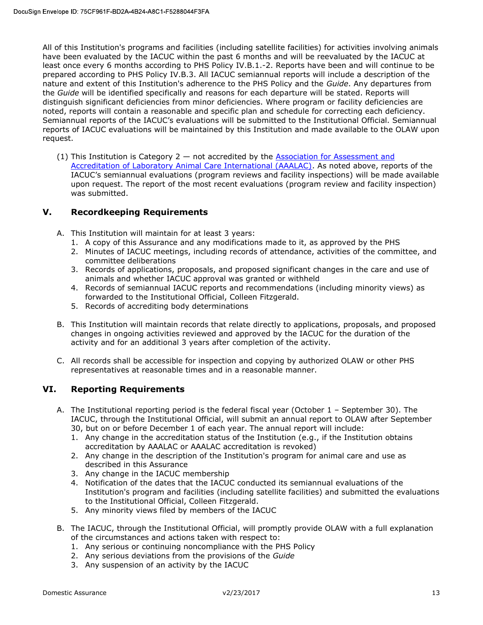All of this Institution's programs and facilities (including satellite facilities) for activities involving animals have been evaluated by the IACUC within the past 6 months and will be reevaluated by the IACUC at least once every 6 months according to PHS Policy IV.B.1.-2. Reports have been and will continue to be prepared according to PHS Policy IV.B.3. All IACUC semiannual reports will include a description of the nature and extent of this Institution's adherence to the PHS Policy and the Guide. Any departures from the Guide will be identified specifically and reasons for each departure will be stated. Reports will distinguish significant deficiencies from minor deficiencies. Where program or facility deficiencies are noted, reports will contain a reasonable and specific plan and schedule for correcting each deficiency. Semiannual reports of the IACUC's evaluations will be submitted to the Institutional Official. Semiannual reports of IACUC evaluations will be maintained by this Institution and made available to the OLAW upon request.

(1) This Institution is Category  $2 -$  not accredited by the Association for Assessment and Accreditation of Laboratory Animal Care International (AAALAC). As noted above, reports of the IACUC's semiannual evaluations (program reviews and facility inspections) will be made available upon request. The report of the most recent evaluations (program review and facility inspection) was submitted.

### V. Recordkeeping Requirements

- A. This Institution will maintain for at least 3 years:
	- 1. A copy of this Assurance and any modifications made to it, as approved by the PHS
	- 2. Minutes of IACUC meetings, including records of attendance, activities of the committee, and committee deliberations
	- 3. Records of applications, proposals, and proposed significant changes in the care and use of animals and whether IACUC approval was granted or withheld
	- 4. Records of semiannual IACUC reports and recommendations (including minority views) as forwarded to the Institutional Official, Colleen Fitzgerald.
	- 5. Records of accrediting body determinations
- B. This Institution will maintain records that relate directly to applications, proposals, and proposed changes in ongoing activities reviewed and approved by the IACUC for the duration of the activity and for an additional 3 years after completion of the activity.
- C. All records shall be accessible for inspection and copying by authorized OLAW or other PHS representatives at reasonable times and in a reasonable manner.

### VI. Reporting Requirements

- A. The Institutional reporting period is the federal fiscal year (October 1 September 30). The IACUC, through the Institutional Official, will submit an annual report to OLAW after September 30, but on or before December 1 of each year. The annual report will include:
	- 1. Any change in the accreditation status of the Institution (e.g., if the Institution obtains accreditation by AAALAC or AAALAC accreditation is revoked)
	- 2. Any change in the description of the Institution's program for animal care and use as described in this Assurance
	- 3. Any change in the IACUC membership
	- 4. Notification of the dates that the IACUC conducted its semiannual evaluations of the Institution's program and facilities (including satellite facilities) and submitted the evaluations to the Institutional Official, Colleen Fitzgerald.
	- 5. Any minority views filed by members of the IACUC
- B. The IACUC, through the Institutional Official, will promptly provide OLAW with a full explanation of the circumstances and actions taken with respect to:
	- 1. Any serious or continuing noncompliance with the PHS Policy
	- 2. Any serious deviations from the provisions of the Guide
	- 3. Any suspension of an activity by the IACUC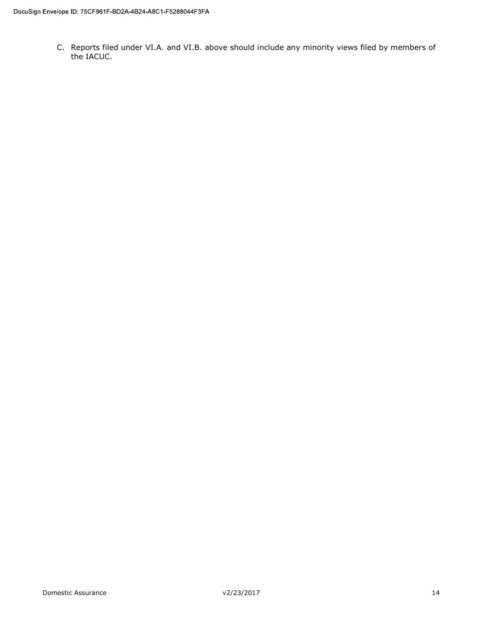C. Reports filed under VI.A. and VI.B. above should include any minority views filed by members of the IACUC.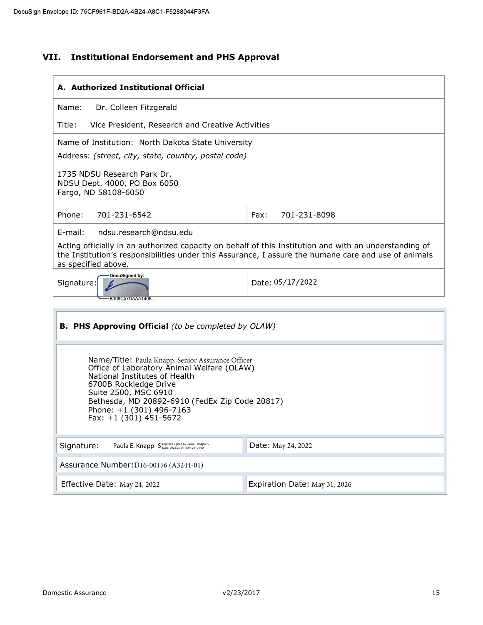# VII. Institutional Endorsement and PHS Approval

| A. Authorized Institutional Official                                                                                                                                                                                                                                                      |                      |  |  |
|-------------------------------------------------------------------------------------------------------------------------------------------------------------------------------------------------------------------------------------------------------------------------------------------|----------------------|--|--|
| Name:<br>Dr. Colleen Fitzgerald                                                                                                                                                                                                                                                           |                      |  |  |
| Vice President, Research and Creative Activities<br>Title:                                                                                                                                                                                                                                |                      |  |  |
| Name of Institution: North Dakota State University                                                                                                                                                                                                                                        |                      |  |  |
| Address: (street, city, state, country, postal code)                                                                                                                                                                                                                                      |                      |  |  |
| 1735 NDSU Research Park Dr.<br>NDSU Dept. 4000, PO Box 6050<br>Fargo, ND 58108-6050                                                                                                                                                                                                       |                      |  |  |
| Phone:<br>701-231-6542                                                                                                                                                                                                                                                                    | Fax:<br>701-231-8098 |  |  |
| ndsu.research@ndsu.edu<br>$E$ -mail:                                                                                                                                                                                                                                                      |                      |  |  |
| Acting officially in an authorized capacity on behalf of this Institution and with an understanding of<br>the Institution's responsibilities under this Assurance, I assure the humane care and use of animals<br>as specified above.                                                     |                      |  |  |
| DocuSigned by:<br>Date: 05/17/2022<br>Signature:                                                                                                                                                                                                                                          |                      |  |  |
| B168C57DAAA1408                                                                                                                                                                                                                                                                           |                      |  |  |
| <b>B. PHS Approving Official</b> (to be completed by OLAW)                                                                                                                                                                                                                                |                      |  |  |
| Name/Title: Paula Knapp, Senior Assurance Officer<br>Office of Laboratory Animal Welfare (OLAW)<br>National Institutes of Health<br>6700B Rockledge Drive<br>Suite 2500, MSC 6910<br>Bethesda, MD 20892-6910 (FedEx Zip Code 20817)<br>Phone: +1 (301) 496-7163<br>Fax: +1 (301) 451-5672 |                      |  |  |
| Paula E. Knapp - S Digitally signed by Paula E. Knapp - S<br>Signature:                                                                                                                                                                                                                   | Date: May 24, 2022   |  |  |
| Assurance Number: D16-00156 (A3244-01)                                                                                                                                                                                                                                                    |                      |  |  |
| Expiration Date: May 31, 2026<br>Effective Date: May 24, 2022                                                                                                                                                                                                                             |                      |  |  |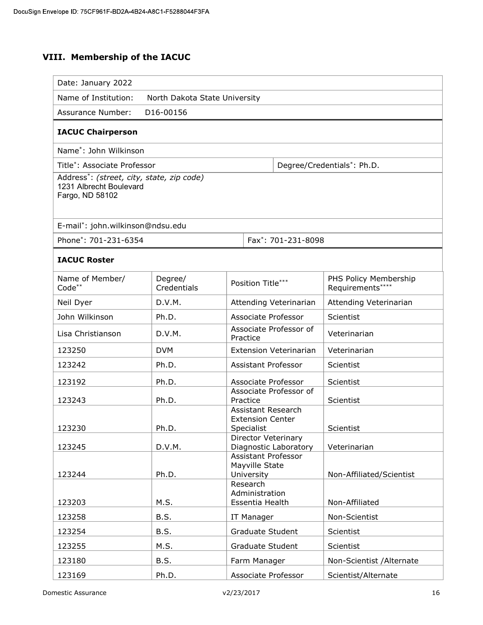# VIII. Membership of the IACUC

| Date: January 2022                                                                      |                                            |                                                             |                                           |
|-----------------------------------------------------------------------------------------|--------------------------------------------|-------------------------------------------------------------|-------------------------------------------|
| Name of Institution:<br>North Dakota State University                                   |                                            |                                                             |                                           |
| <b>Assurance Number:</b><br>D16-00156                                                   |                                            |                                                             |                                           |
| <b>IACUC Chairperson</b>                                                                |                                            |                                                             |                                           |
| Name <sup>*</sup> : John Wilkinson                                                      |                                            |                                                             |                                           |
| Title*: Associate Professor                                                             |                                            |                                                             | Degree/Credentials*: Ph.D.                |
| Address*: (street, city, state, zip code)<br>1231 Albrecht Boulevard<br>Fargo, ND 58102 |                                            |                                                             |                                           |
| E-mail*: john.wilkinson@ndsu.edu                                                        |                                            |                                                             |                                           |
|                                                                                         | Phone*: 701-231-6354<br>Fax*: 701-231-8098 |                                                             |                                           |
| <b>IACUC Roster</b>                                                                     |                                            |                                                             |                                           |
| Name of Member/<br>Code**                                                               | Degree/<br>Credentials                     | Position Title***                                           | PHS Policy Membership<br>Requirements**** |
| Neil Dyer                                                                               | D.V.M.                                     | Attending Veterinarian                                      | Attending Veterinarian                    |
| John Wilkinson                                                                          | Ph.D.                                      | Associate Professor                                         | Scientist                                 |
| Lisa Christianson                                                                       | D.V.M.                                     | Associate Professor of<br>Practice                          | Veterinarian                              |
| 123250                                                                                  | <b>DVM</b>                                 | <b>Extension Veterinarian</b>                               | Veterinarian                              |
| 123242                                                                                  | Ph.D.                                      | Assistant Professor                                         | Scientist                                 |
| 123192                                                                                  | Ph.D.                                      | Associate Professor                                         | Scientist                                 |
| 123243                                                                                  | Ph.D.                                      | Associate Professor of<br>Practice                          | Scientist                                 |
| 123230                                                                                  | Ph.D.                                      | Assistant Research<br><b>Extension Center</b><br>Specialist | Scientist                                 |
| 123245                                                                                  | D.V.M.                                     | Director Veterinary<br>Diagnostic Laboratory                | Veterinarian                              |
| 123244                                                                                  | Ph.D.                                      | Assistant Professor<br>Mayville State<br>University         | Non-Affiliated/Scientist                  |
| 123203                                                                                  | M.S.                                       | Research<br>Administration<br>Essentia Health               | Non-Affiliated                            |
| 123258                                                                                  | B.S.                                       | IT Manager                                                  | Non-Scientist                             |
| 123254                                                                                  | B.S.                                       | Graduate Student                                            | Scientist                                 |
| 123255                                                                                  | M.S.                                       | Graduate Student                                            | Scientist                                 |
| 123180                                                                                  | B.S.                                       | Farm Manager                                                | Non-Scientist / Alternate                 |
| 123169                                                                                  | Ph.D.                                      | Associate Professor                                         | Scientist/Alternate                       |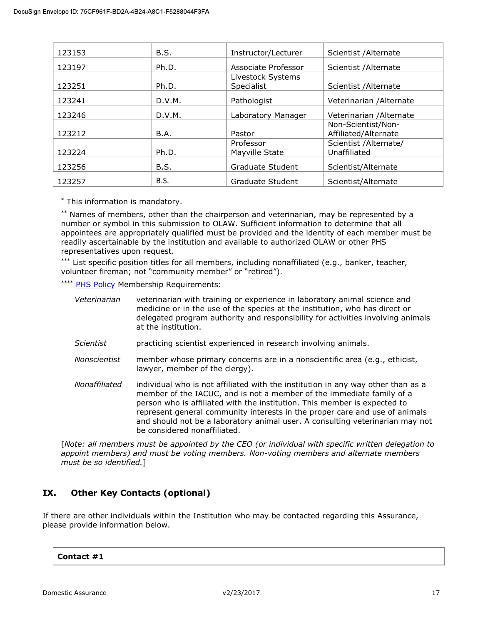| 123153 | B.S.        | Instructor/Lecturer                    | Scientist / Alternate                      |
|--------|-------------|----------------------------------------|--------------------------------------------|
| 123197 | Ph.D.       | Associate Professor                    | Scientist / Alternate                      |
| 123251 | Ph.D.       | Livestock Systems<br><b>Specialist</b> | Scientist / Alternate                      |
| 123241 | D.V.M.      | Pathologist                            | Veterinarian / Alternate                   |
| 123246 | D.V.M.      | Laboratory Manager                     | Veterinarian / Alternate                   |
| 123212 | <b>B.A.</b> | Pastor                                 | Non-Scientist/Non-<br>Affiliated/Alternate |
| 123224 | Ph.D.       | Professor<br>Mayville State            | Scientist / Alternate/<br>Unaffiliated     |
| 123256 | B.S.        | Graduate Student                       | Scientist/Alternate                        |
| 123257 | B.S.        | Graduate Student                       | Scientist/Alternate                        |

\* This information is mandatory.

\*\* Names of members, other than the chairperson and veterinarian, may be represented by a number or symbol in this submission to OLAW. Sufficient information to determine that all appointees are appropriately qualified must be provided and the identity of each member must be readily ascertainable by the institution and available to authorized OLAW or other PHS representatives upon request.

\*\*\* List specific position titles for all members, including nonaffiliated (e.g., banker, teacher, volunteer fireman; not "community member" or "retired").

\*\*\*\* PHS Policy Membership Requirements:

| Veterinarian     | veterinarian with training or experience in laboratory animal science and<br>medicine or in the use of the species at the institution, who has direct or<br>delegated program authority and responsibility for activities involving animals<br>at the institution. |
|------------------|--------------------------------------------------------------------------------------------------------------------------------------------------------------------------------------------------------------------------------------------------------------------|
| <b>Scientist</b> | practicing scientist experienced in research involving animals.                                                                                                                                                                                                    |
| Nonscientist     | member whose primary concerns are in a nonscientific area (e.g., ethicist,<br>lawyer, member of the clergy).                                                                                                                                                       |
| Nonaffiliated    | individual who is not affiliated with the institution in any way other than as a<br>member of the IACUC, and is not a member of the immediate family of a<br>person who is affiliated with the institution. This member is expected to                             |

person who is affiliated with the institution. This member is expected to represent general community interests in the proper care and use of animals and should not be a laboratory animal user. A consulting veterinarian may not be considered nonaffiliated.

[Note: all members must be appointed by the CEO (or individual with specific written delegation to appoint members) and must be voting members. Non-voting members and alternate members must be so identified.]

# IX. Other Key Contacts (optional)

If there are other individuals within the Institution who may be contacted regarding this Assurance, please provide information below.

#### Contact #1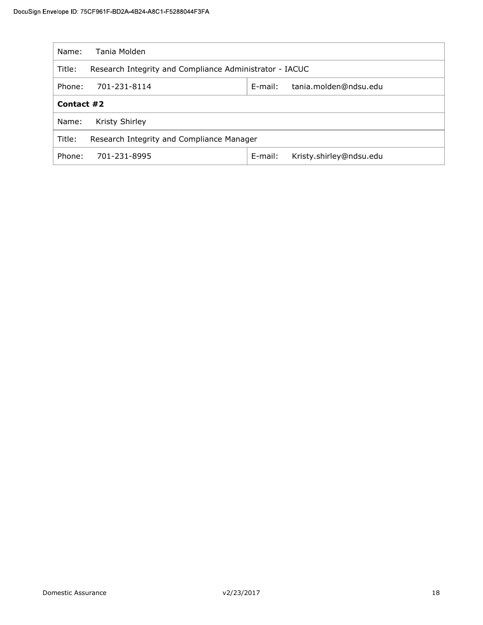| Name:      | Tania Molden                                            |            |                         |
|------------|---------------------------------------------------------|------------|-------------------------|
| Title:     | Research Integrity and Compliance Administrator - IACUC |            |                         |
| Phone:     | E-mail:<br>701-231-8114<br>tania.molden@ndsu.edu        |            |                         |
| Contact #2 |                                                         |            |                         |
| Name:      | Kristy Shirley                                          |            |                         |
| Title:     | Research Integrity and Compliance Manager               |            |                         |
| Phone:     | 701-231-8995                                            | $E$ -mail: | Kristy.shirley@ndsu.edu |